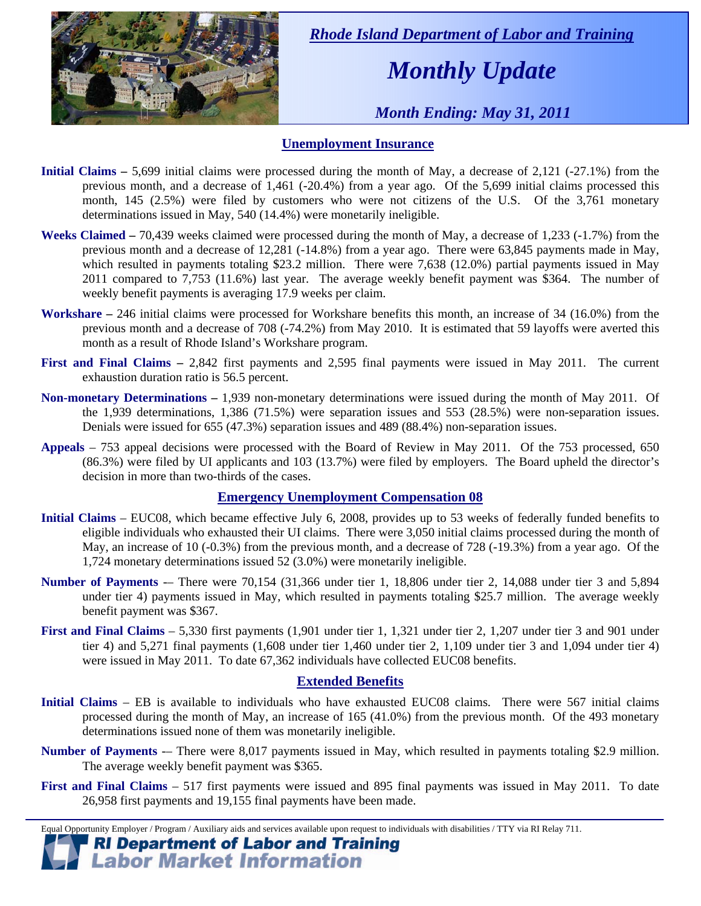

 *Rhode Island Department of Labor and Training* 

# *Monthly Update*

 *Month Ending: May 31, 2011* 

#### **Unemployment Insurance**

- **Initial Claims** 5,699 initial claims were processed during the month of May, a decrease of 2,121 (-27.1%) from the previous month, and a decrease of 1,461 (-20.4%) from a year ago. Of the 5,699 initial claims processed this month, 145 (2.5%) were filed by customers who were not citizens of the U.S. Of the 3,761 monetary determinations issued in May, 540 (14.4%) were monetarily ineligible.
- **Weeks Claimed** 70,439 weeks claimed were processed during the month of May, a decrease of 1,233 (-1.7%) from the previous month and a decrease of 12,281 (-14.8%) from a year ago. There were 63,845 payments made in May, which resulted in payments totaling \$23.2 million. There were 7,638 (12.0%) partial payments issued in May 2011 compared to 7,753 (11.6%) last year. The average weekly benefit payment was \$364. The number of weekly benefit payments is averaging 17.9 weeks per claim.
- **Workshare –** 246 initial claims were processed for Workshare benefits this month, an increase of 34 (16.0%) from the previous month and a decrease of 708 (-74.2%) from May 2010. It is estimated that 59 layoffs were averted this month as a result of Rhode Island's Workshare program.
- **First and Final Claims –** 2,842 first payments and 2,595 final payments were issued in May 2011. The current exhaustion duration ratio is 56.5 percent.
- **Non-monetary Determinations –** 1,939 non-monetary determinations were issued during the month of May 2011. Of the 1,939 determinations, 1,386 (71.5%) were separation issues and 553 (28.5%) were non-separation issues. Denials were issued for 655 (47.3%) separation issues and 489 (88.4%) non-separation issues.
- **Appeals** 753 appeal decisions were processed with the Board of Review in May 2011. Of the 753 processed, 650 (86.3%) were filed by UI applicants and 103 (13.7%) were filed by employers. The Board upheld the director's decision in more than two-thirds of the cases.

#### **Emergency Unemployment Compensation 08**

- **Initial Claims**  EUC08, which became effective July 6, 2008, provides up to 53 weeks of federally funded benefits to eligible individuals who exhausted their UI claims. There were 3,050 initial claims processed during the month of May, an increase of 10 (-0.3%) from the previous month, and a decrease of 728 (-19.3%) from a year ago. Of the 1,724 monetary determinations issued 52 (3.0%) were monetarily ineligible.
- **Number of Payments** -– There were 70,154 (31,366 under tier 1, 18,806 under tier 2, 14,088 under tier 3 and 5,894 under tier 4) payments issued in May, which resulted in payments totaling \$25.7 million. The average weekly benefit payment was \$367.
- **First and Final Claims**  5,330 first payments (1,901 under tier 1, 1,321 under tier 2, 1,207 under tier 3 and 901 under tier 4) and 5,271 final payments (1,608 under tier 1,460 under tier 2, 1,109 under tier 3 and 1,094 under tier 4) were issued in May 2011. To date 67,362 individuals have collected EUC08 benefits.

#### **Extended Benefits**

- **Initial Claims**  EB is available to individuals who have exhausted EUC08 claims. There were 567 initial claims processed during the month of May, an increase of 165 (41.0%) from the previous month. Of the 493 monetary determinations issued none of them was monetarily ineligible.
- **Number of Payments** There were 8,017 payments issued in May, which resulted in payments totaling \$2.9 million. The average weekly benefit payment was \$365.
- **First and Final Claims**  517 first payments were issued and 895 final payments was issued in May 2011. To date 26,958 first payments and 19,155 final payments have been made.

Equal Opportunity Employer / Program / Auxiliary aids and services available upon request to individuals with disabilities / TTY via RI Relay 711. **RI Department of Labor and Training** 

## **Labor Market Information**